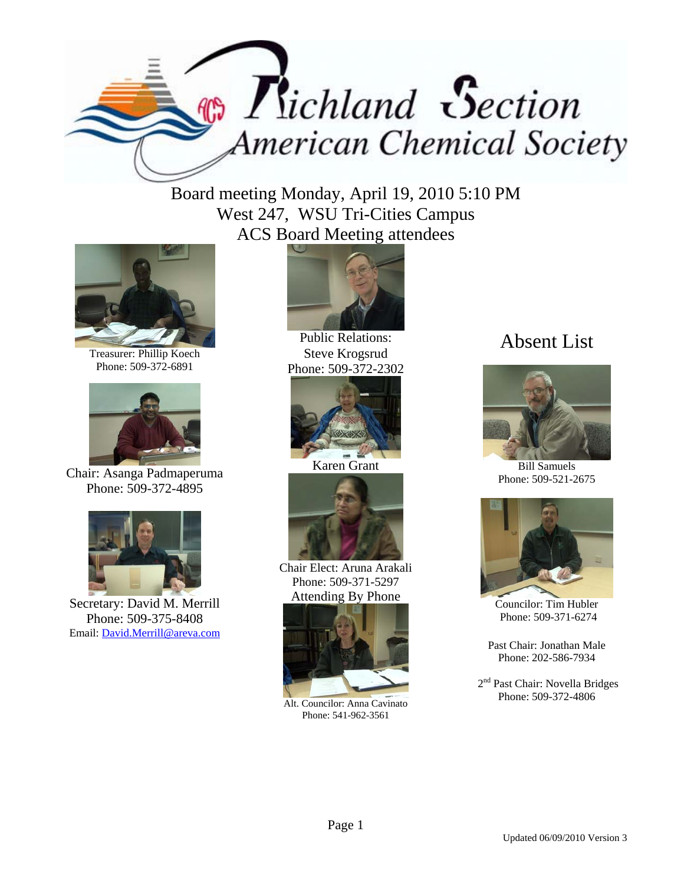

Board meeting Monday, April 19, 2010 5:10 PM West 247, WSU Tri-Cities Campus ACS Board Meeting attendees



Treasurer: Phillip Koech Phone: 509-372-6891



Chair: Asanga Padmaperuma Phone: 509-372-4895



Secretary: David M. Merrill Phone: 509-375-8408 Email: David.Merrill@areva.com



Public Relations: Steve Krogsrud Phone: 509-372-2302



Karen Grant



Chair Elect: Aruna Arakali Phone: 509-371-5297 Attending By Phone



Alt. Councilor: Anna Cavinato Phone: 541-962-3561

## Absent List



Bill Samuels Phone: 509-521-2675



Councilor: Tim Hubler Phone: 509-371-6274

Past Chair: Jonathan Male Phone: 202-586-7934

2<sup>nd</sup> Past Chair: Novella Bridges Phone: 509-372-4806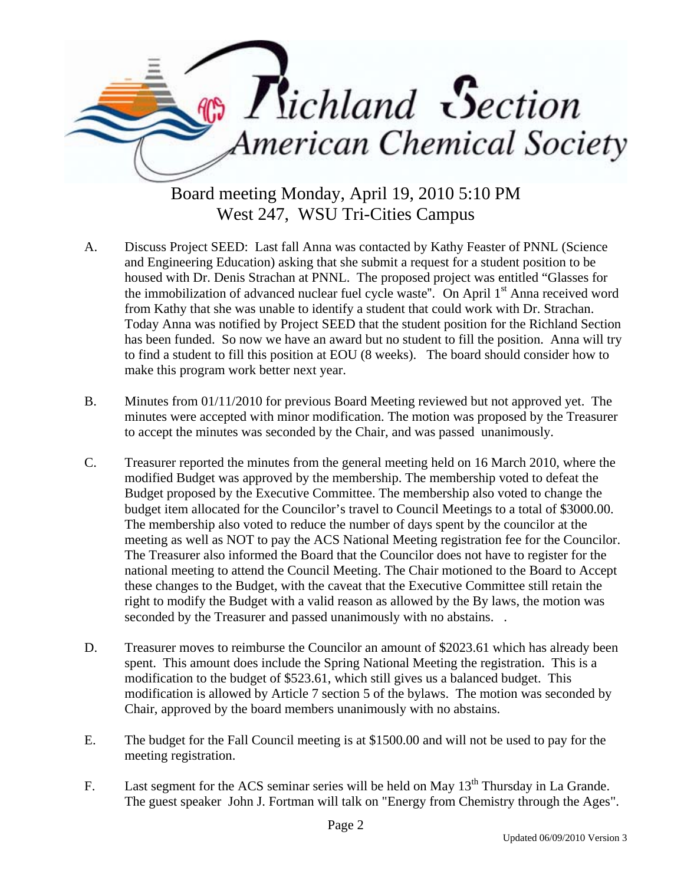

Board meeting Monday, April 19, 2010 5:10 PM West 247, WSU Tri-Cities Campus

- A. Discuss Project SEED: Last fall Anna was contacted by Kathy Feaster of PNNL (Science and Engineering Education) asking that she submit a request for a student position to be housed with Dr. Denis Strachan at PNNL. The proposed project was entitled "Glasses for the immobilization of advanced nuclear fuel cycle waste". On April 1<sup>st</sup> Anna received word from Kathy that she was unable to identify a student that could work with Dr. Strachan. Today Anna was notified by Project SEED that the student position for the Richland Section has been funded. So now we have an award but no student to fill the position. Anna will try to find a student to fill this position at EOU (8 weeks). The board should consider how to make this program work better next year.
- B. Minutes from 01/11/2010 for previous Board Meeting reviewed but not approved yet. The minutes were accepted with minor modification. The motion was proposed by the Treasurer to accept the minutes was seconded by the Chair, and was passed unanimously.
- C. Treasurer reported the minutes from the general meeting held on 16 March 2010, where the modified Budget was approved by the membership. The membership voted to defeat the Budget proposed by the Executive Committee. The membership also voted to change the budget item allocated for the Councilor's travel to Council Meetings to a total of \$3000.00. The membership also voted to reduce the number of days spent by the councilor at the meeting as well as NOT to pay the ACS National Meeting registration fee for the Councilor. The Treasurer also informed the Board that the Councilor does not have to register for the national meeting to attend the Council Meeting. The Chair motioned to the Board to Accept these changes to the Budget, with the caveat that the Executive Committee still retain the right to modify the Budget with a valid reason as allowed by the By laws, the motion was seconded by the Treasurer and passed unanimously with no abstains. .
- D. Treasurer moves to reimburse the Councilor an amount of \$2023.61 which has already been spent. This amount does include the Spring National Meeting the registration. This is a modification to the budget of \$523.61, which still gives us a balanced budget. This modification is allowed by Article 7 section 5 of the bylaws. The motion was seconded by Chair, approved by the board members unanimously with no abstains.
- E. The budget for the Fall Council meeting is at \$1500.00 and will not be used to pay for the meeting registration.
- F. Last segment for the ACS seminar series will be held on May  $13<sup>th</sup>$  Thursday in La Grande. The guest speaker John J. Fortman will talk on "Energy from Chemistry through the Ages".